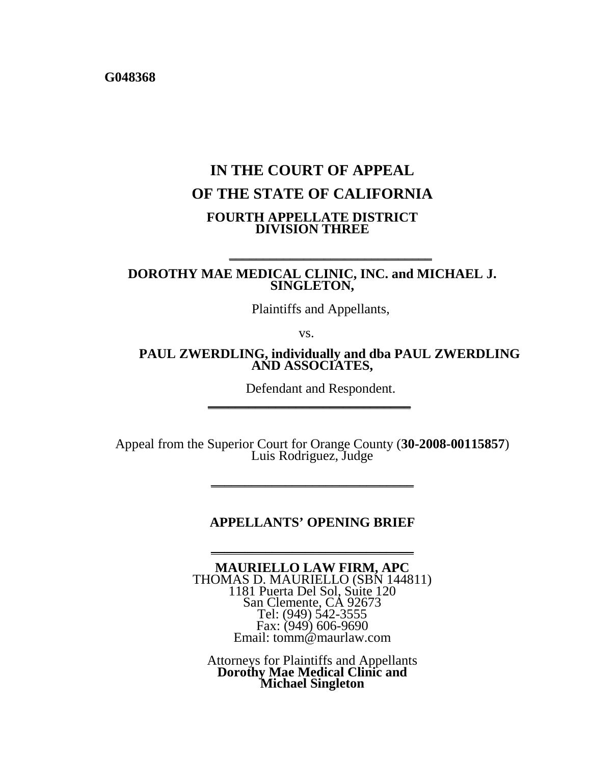**G048368**

# **IN THE COURT OF APPEAL OF THE STATE OF CALIFORNIA FOURTH APPELLATE DISTRICT DIVISION THREE**

**DOROTHY MAE MEDICAL CLINIC, INC. and MICHAEL J. SINGLETON,**

Plaintiffs and Appellants,

**\_\_\_\_\_\_\_\_\_\_\_\_\_\_\_\_\_\_\_\_\_\_\_\_\_\_\_\_\_\_**

vs.

**PAUL ZWERDLING, individually and dba PAUL ZWERDLING AND ASSOCIATES,** 

Defendant and Respondent.

Appeal from the Superior Court for Orange County (**30-2008-00115857**) Luis Rodriguez, Judge

**\_\_\_\_\_\_\_\_\_\_\_\_\_\_\_\_\_\_\_\_\_\_\_\_\_\_\_\_\_\_**

#### **APPELLANTS' OPENING BRIEF**

**\_\_\_\_\_\_\_\_\_\_\_\_\_\_\_\_\_\_\_\_\_\_\_\_\_\_\_\_\_\_**

**MAURIELLO LAW FIRM, APC** THOMAS D. MAURIELLO (SBN 144811) 1181 Puerta Del Sol, Suite 120 San Clemente, CA 92673 Tel: (949) 542-3555 Fax: (949) 606-9690 Email: tomm@maurlaw.com

Attorneys for Plaintiffs and Appellants **Dorothy Mae Medical Clinic and Michael Singleton**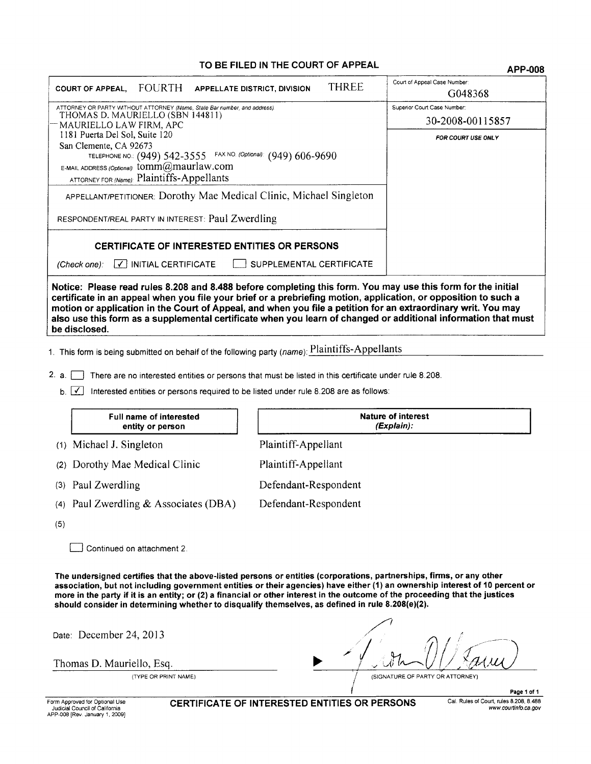#### TO BE FILED IN THE COURT OF APPEAL

**APP-008** 

| <b>THREE</b><br>COURT OF APPEAL, FOURTH APPELLATE DISTRICT, DIVISION                                                                                                                                                                                                                                                                                                                                                                                                                | Court of Appeal Case Number:<br>G048368 |  |  |  |
|-------------------------------------------------------------------------------------------------------------------------------------------------------------------------------------------------------------------------------------------------------------------------------------------------------------------------------------------------------------------------------------------------------------------------------------------------------------------------------------|-----------------------------------------|--|--|--|
| ATTORNEY OR PARTY WITHOUT ATTORNEY (Name, State Bar number, and address)                                                                                                                                                                                                                                                                                                                                                                                                            | Superior Court Case Number:             |  |  |  |
| THOMAS D. MAURIELLO (SBN 144811)<br>MAURIELLO LAW FIRM, APC                                                                                                                                                                                                                                                                                                                                                                                                                         | 30-2008-00115857                        |  |  |  |
| 1181 Puerta Del Sol, Suite 120<br>San Clemente, CA 92673<br>TELEPHONE NO.: (949) 542-3555 FAX NO. (Optional): (949) 606-9690                                                                                                                                                                                                                                                                                                                                                        | <b>FOR COURT USE ONLY</b>               |  |  |  |
| E-MAIL ADDRESS (Optional): tomm@maurlaw.com<br>ATTORNEY FOR (Name): Plaintiffs-Appellants                                                                                                                                                                                                                                                                                                                                                                                           |                                         |  |  |  |
| <b>APPELLANT/PETITIONER: Dorothy Mae Medical Clinic, Michael Singleton</b>                                                                                                                                                                                                                                                                                                                                                                                                          |                                         |  |  |  |
| RESPONDENT/REAL PARTY IN INTEREST: Paul Zwerdling                                                                                                                                                                                                                                                                                                                                                                                                                                   |                                         |  |  |  |
| <b>CERTIFICATE OF INTERESTED ENTITIES OR PERSONS</b>                                                                                                                                                                                                                                                                                                                                                                                                                                |                                         |  |  |  |
| $\lfloor \checkmark \rfloor$ INITIAL CERTIFICATE<br>SUPPLEMENTAL CERTIFICATE<br>(Check one):                                                                                                                                                                                                                                                                                                                                                                                        |                                         |  |  |  |
| Notice: Please read rules 8.208 and 8.488 before completing this form. You may use this form for the initial<br>certificate in an appeal when you file your brief or a prebriefing motion, application, or opposition to such a<br>motion or application in the Court of Appeal, and when you file a petition for an extraordinary writ. You may<br>also use this form as a supplemental certificate when you learn of changed or additional information that must<br>be disclosed. |                                         |  |  |  |
| 1. This form is being submitted on behalf of the following party (name): Plaintiffs-Appellants                                                                                                                                                                                                                                                                                                                                                                                      |                                         |  |  |  |
| 2. a.<br>There are no interested entities or persons that must be listed in this certificate under rule 8.208.                                                                                                                                                                                                                                                                                                                                                                      |                                         |  |  |  |
| Interested entities or persons required to be listed under rule 8.208 are as follows:<br>b.                                                                                                                                                                                                                                                                                                                                                                                         |                                         |  |  |  |

|     | <b>Full name of interested</b><br>entity or person | <b>Nature of interest</b><br>(Explain): |
|-----|----------------------------------------------------|-----------------------------------------|
|     | (1) Michael J. Singleton                           | Plaintiff-Appellant                     |
|     | (2) Dorothy Mae Medical Clinic                     | Plaintiff-Appellant                     |
|     | (3) Paul Zwerdling                                 | Defendant-Respondent                    |
|     | (4) Paul Zwerdling & Associates (DBA)              | Defendant-Respondent                    |
| (5) |                                                    |                                         |

Continued on attachment 2.

The undersigned certifies that the above-listed persons or entities (corporations, partnerships, firms, or any other association, but not including government entities or their agencies) have either (1) an ownership interest of 10 percent or more in the party if it is an entity; or (2) a financial or other interest in the outcome of the proceeding that the justices should consider in determining whether to disqualify themselves, as defined in rule 8.208(e)(2).

Date: December 24, 2013

Thomas D. Mauriello, Esq.

(TYPE OR PRINT NAME)

(SIGNATURE OF PARTY OR ATTORNEY)

 $\overline{(\ }$ 

CERTIFICATE OF INTERESTED ENTITIES OR PERSONS

Page 1 of 1 Cal. Rules of Court, rules 8.208, 8.488 www.courtinfo.ca.gov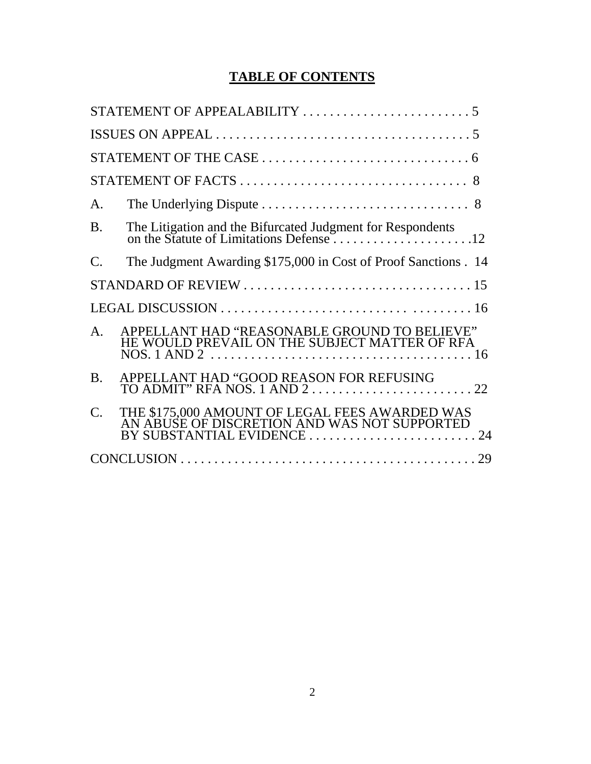# **TABLE OF CONTENTS**

| A.              |                                                                                                |
|-----------------|------------------------------------------------------------------------------------------------|
| <b>B.</b>       |                                                                                                |
| $\mathcal{C}$ . | The Judgment Awarding \$175,000 in Cost of Proof Sanctions . 14                                |
|                 |                                                                                                |
|                 |                                                                                                |
| $\mathsf{A}$ .  | APPELLANT HAD "REASONABLE GROUND TO BELIEVE"<br>HE WOULD PREVAIL ON THE SUBJECT MATTER OF RFA  |
| <b>B.</b>       | APPELLANT HAD "GOOD REASON FOR REFUSING                                                        |
| $\mathcal{C}$ . | THE \$175,000 AMOUNT OF LEGAL FEES AWARDED WAS<br>AN ABUSE OF DISCRETION AND WAS NOT SUPPORTED |
|                 |                                                                                                |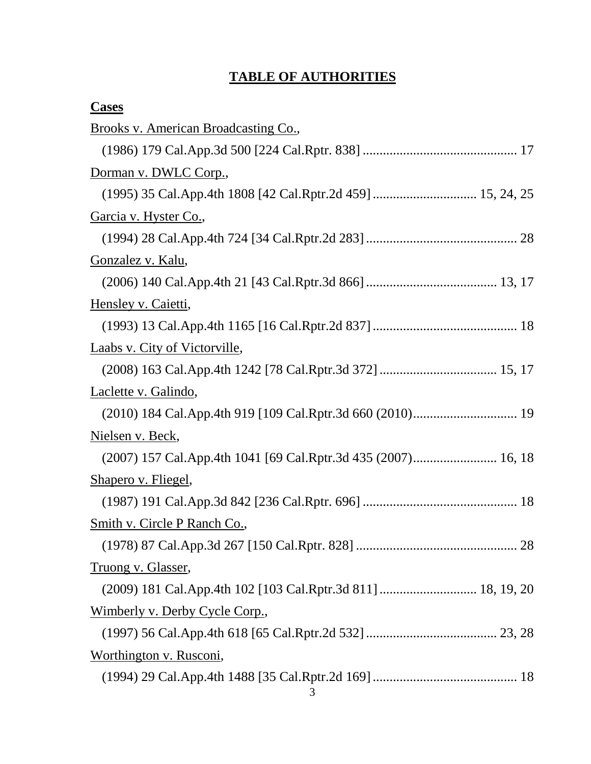### **TABLE OF AUTHORITIES**

| <b>Cases</b>                                                  |
|---------------------------------------------------------------|
| Brooks v. American Broadcasting Co.,                          |
|                                                               |
| Dorman v. DWLC Corp.,                                         |
|                                                               |
| <u>Garcia v. Hyster Co.,</u>                                  |
|                                                               |
| <u>Gonzalez v. Kalu,</u>                                      |
|                                                               |
| Hensley v. Caietti,                                           |
|                                                               |
| Laabs v. City of Victorville,                                 |
|                                                               |
| Laclette v. Galindo,                                          |
|                                                               |
| <u>Nielsen v. Beck,</u>                                       |
| (2007) 157 Cal.App.4th 1041 [69 Cal.Rptr.3d 435 (2007) 16, 18 |
| Shapero v. Fliegel,                                           |
|                                                               |
| Smith v. Circle P Ranch Co.,                                  |
|                                                               |
| Truong v. Glasser,                                            |
| (2009) 181 Cal.App.4th 102 [103 Cal.Rptr.3d 811]  18, 19, 20  |
| Wimberly v. Derby Cycle Corp.,                                |
|                                                               |
| <u>Worthington v. Rusconi,</u>                                |
|                                                               |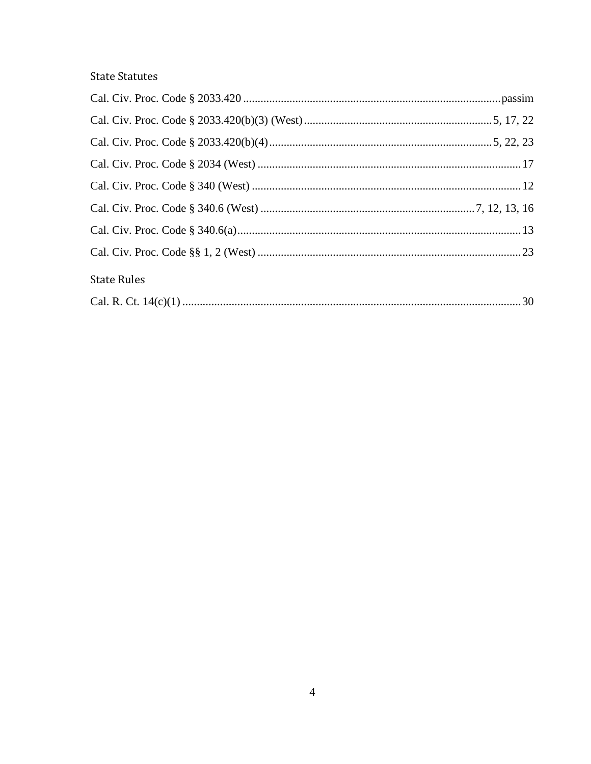# **State Statutes**

| <b>State Rules</b> |  |
|--------------------|--|
|                    |  |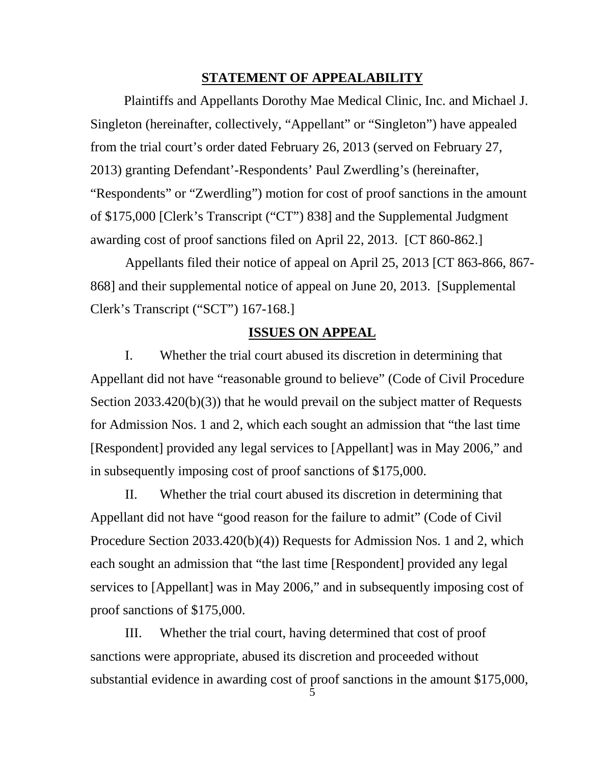#### **STATEMENT OF APPEALABILITY**

 Plaintiffs and Appellants Dorothy Mae Medical Clinic, Inc. and Michael J. Singleton (hereinafter, collectively, "Appellant" or "Singleton") have appealed from the trial court's order dated February 26, 2013 (served on February 27, 2013) granting Defendant'-Respondents' Paul Zwerdling's (hereinafter, "Respondents" or "Zwerdling") motion for cost of proof sanctions in the amount of \$175,000 [Clerk's Transcript ("CT") 838] and the Supplemental Judgment awarding cost of proof sanctions filed on April 22, 2013. [CT 860-862.]

Appellants filed their notice of appeal on April 25, 2013 [CT 863-866, 867- 868] and their supplemental notice of appeal on June 20, 2013. [Supplemental Clerk's Transcript ("SCT") 167-168.]

#### **ISSUES ON APPEAL**

I. Whether the trial court abused its discretion in determining that Appellant did not have "reasonable ground to believe" (Code of Civil Procedure Section 2033.420(b)(3)) that he would prevail on the subject matter of Requests for Admission Nos. 1 and 2, which each sought an admission that "the last time [Respondent] provided any legal services to [Appellant] was in May 2006," and in subsequently imposing cost of proof sanctions of \$175,000.

II. Whether the trial court abused its discretion in determining that Appellant did not have "good reason for the failure to admit" (Code of Civil Procedure Section 2033.420(b)(4)) Requests for Admission Nos. 1 and 2, which each sought an admission that "the last time [Respondent] provided any legal services to [Appellant] was in May 2006," and in subsequently imposing cost of proof sanctions of \$175,000.

III. Whether the trial court, having determined that cost of proof sanctions were appropriate, abused its discretion and proceeded without substantial evidence in awarding cost of proof sanctions in the amount \$175,000,

5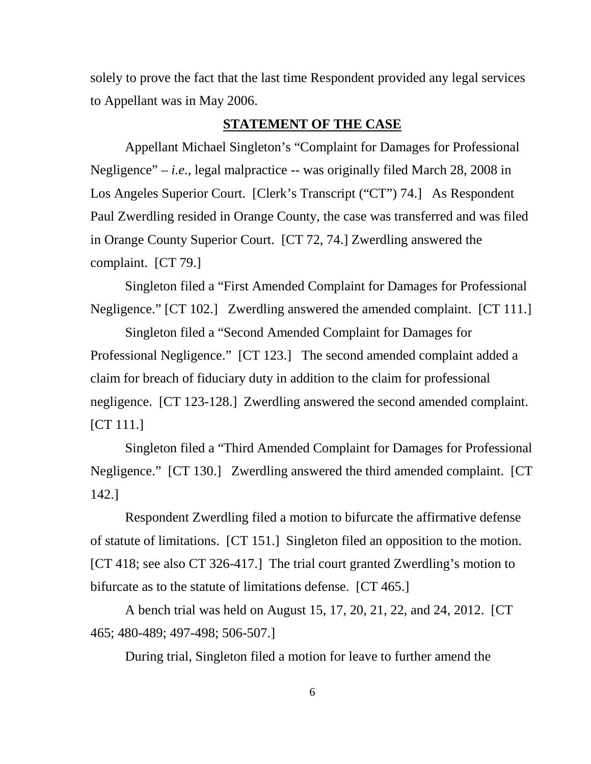solely to prove the fact that the last time Respondent provided any legal services to Appellant was in May 2006.

#### **STATEMENT OF THE CASE**

Appellant Michael Singleton's "Complaint for Damages for Professional Negligence" – *i.e.*, legal malpractice -- was originally filed March 28, 2008 in Los Angeles Superior Court. [Clerk's Transcript ("CT") 74.] As Respondent Paul Zwerdling resided in Orange County, the case was transferred and was filed in Orange County Superior Court. [CT 72, 74.] Zwerdling answered the complaint. [CT 79.]

Singleton filed a "First Amended Complaint for Damages for Professional Negligence." [CT 102.] Zwerdling answered the amended complaint. [CT 111.]

Singleton filed a "Second Amended Complaint for Damages for Professional Negligence." [CT 123.] The second amended complaint added a claim for breach of fiduciary duty in addition to the claim for professional negligence. [CT 123-128.] Zwerdling answered the second amended complaint. [CT 111.]

Singleton filed a "Third Amended Complaint for Damages for Professional Negligence." [CT 130.] Zwerdling answered the third amended complaint. [CT 142.]

Respondent Zwerdling filed a motion to bifurcate the affirmative defense of statute of limitations. [CT 151.] Singleton filed an opposition to the motion. [CT 418; see also CT 326-417.] The trial court granted Zwerdling's motion to bifurcate as to the statute of limitations defense. [CT 465.]

A bench trial was held on August 15, 17, 20, 21, 22, and 24, 2012. [CT 465; 480-489; 497-498; 506-507.]

During trial, Singleton filed a motion for leave to further amend the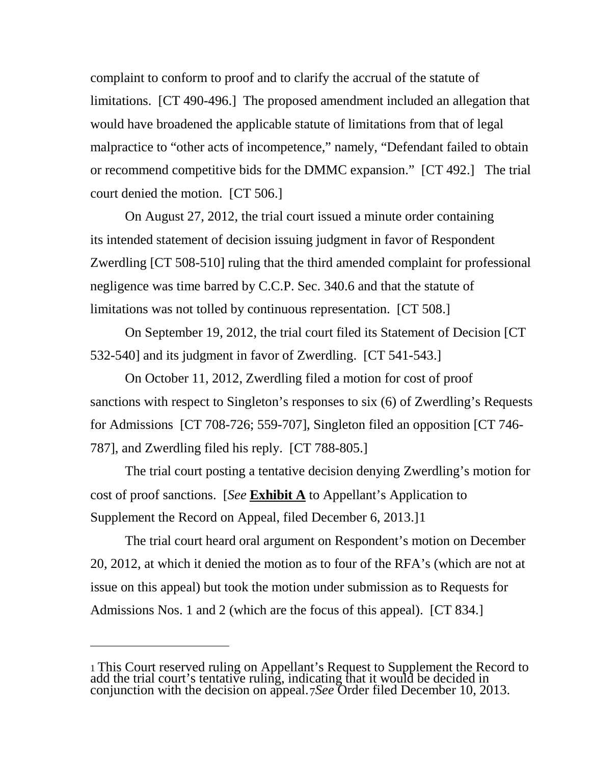complaint to conform to proof and to clarify the accrual of the statute of limitations. [CT 490-496.] The proposed amendment included an allegation that would have broadened the applicable statute of limitations from that of legal malpractice to "other acts of incompetence," namely, "Defendant failed to obtain or recommend competitive bids for the DMMC expansion." [CT 492.] The trial court denied the motion. [CT 506.]

On August 27, 2012, the trial court issued a minute order containing its intended statement of decision issuing judgment in favor of Respondent Zwerdling [CT 508-510] ruling that the third amended complaint for professional negligence was time barred by C.C.P. Sec. 340.6 and that the statute of limitations was not tolled by continuous representation. [CT 508.]

On September 19, 2012, the trial court filed its Statement of Decision [CT 532-540] and its judgment in favor of Zwerdling. [CT 541-543.]

On October 11, 2012, Zwerdling filed a motion for cost of proof sanctions with respect to Singleton's responses to six (6) of Zwerdling's Requests for Admissions [CT 708-726; 559-707], Singleton filed an opposition [CT 746- 787], and Zwerdling filed his reply. [CT 788-805.]

The trial court posting a tentative decision denying Zwerdling's motion for cost of proof sanctions. [*See* **Exhibit A** to Appellant's Application to Supplement the Record on Appeal, filed December 6, 2013.][1](#page-7-0)

The trial court heard oral argument on Respondent's motion on December 20, 2012, at which it denied the motion as to four of the RFA's (which are not at issue on this appeal) but took the motion under submission as to Requests for Admissions Nos. 1 and 2 (which are the focus of this appeal). [CT 834.]

 $\overline{a}$ 

<span id="page-7-0"></span><sup>1</sup> This Court reserved ruling on Appellant's Request to Supplement the Record to add the trial court's tentative ruling, indicating that it would be decided in conjunction with the decision on appeal. 7*See* Order filed December 10, 2013.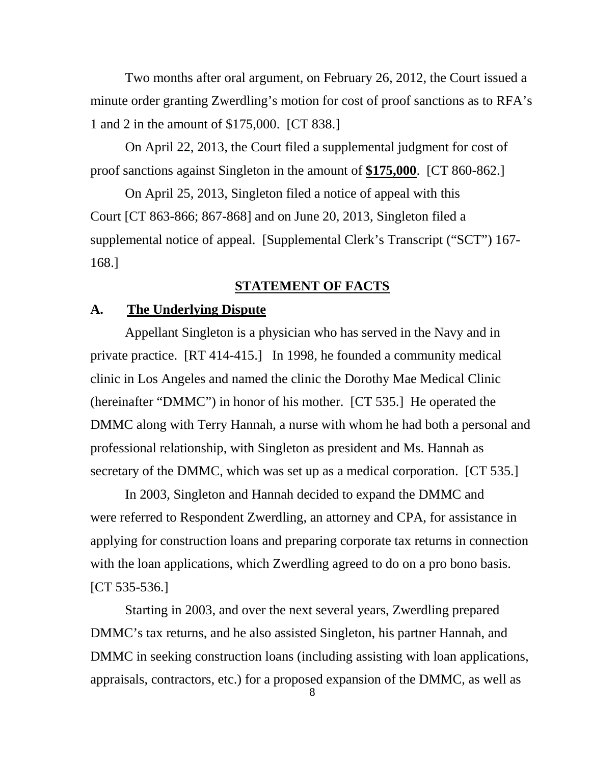Two months after oral argument, on February 26, 2012, the Court issued a minute order granting Zwerdling's motion for cost of proof sanctions as to RFA's 1 and 2 in the amount of \$175,000. [CT 838.]

On April 22, 2013, the Court filed a supplemental judgment for cost of proof sanctions against Singleton in the amount of **\$175,000**. [CT 860-862.]

On April 25, 2013, Singleton filed a notice of appeal with this Court [CT 863-866; 867-868] and on June 20, 2013, Singleton filed a supplemental notice of appeal. [Supplemental Clerk's Transcript ("SCT") 167- 168.]

#### **STATEMENT OF FACTS**

#### **A. The Underlying Dispute**

Appellant Singleton is a physician who has served in the Navy and in private practice. [RT 414-415.] In 1998, he founded a community medical clinic in Los Angeles and named the clinic the Dorothy Mae Medical Clinic (hereinafter "DMMC") in honor of his mother. [CT 535.] He operated the DMMC along with Terry Hannah, a nurse with whom he had both a personal and professional relationship, with Singleton as president and Ms. Hannah as secretary of the DMMC, which was set up as a medical corporation. [CT 535.]

In 2003, Singleton and Hannah decided to expand the DMMC and were referred to Respondent Zwerdling, an attorney and CPA, for assistance in applying for construction loans and preparing corporate tax returns in connection with the loan applications, which Zwerdling agreed to do on a pro bono basis. [CT 535-536.]

Starting in 2003, and over the next several years, Zwerdling prepared DMMC's tax returns, and he also assisted Singleton, his partner Hannah, and DMMC in seeking construction loans (including assisting with loan applications, appraisals, contractors, etc.) for a proposed expansion of the DMMC, as well as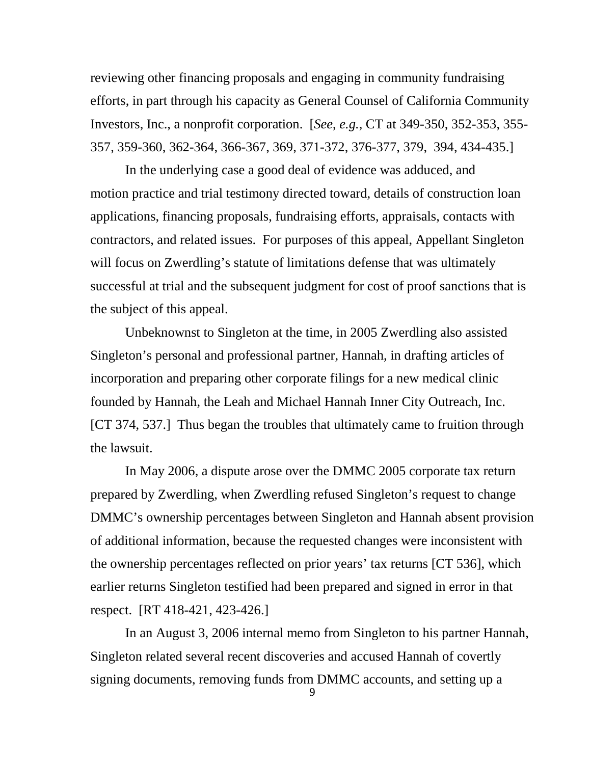reviewing other financing proposals and engaging in community fundraising efforts, in part through his capacity as General Counsel of California Community Investors, Inc., a nonprofit corporation. [*See*, *e.g.*, CT at 349-350, 352-353, 355- 357, 359-360, 362-364, 366-367, 369, 371-372, 376-377, 379, 394, 434-435.]

In the underlying case a good deal of evidence was adduced, and motion practice and trial testimony directed toward, details of construction loan applications, financing proposals, fundraising efforts, appraisals, contacts with contractors, and related issues. For purposes of this appeal, Appellant Singleton will focus on Zwerdling's statute of limitations defense that was ultimately successful at trial and the subsequent judgment for cost of proof sanctions that is the subject of this appeal.

Unbeknownst to Singleton at the time, in 2005 Zwerdling also assisted Singleton's personal and professional partner, Hannah, in drafting articles of incorporation and preparing other corporate filings for a new medical clinic founded by Hannah, the Leah and Michael Hannah Inner City Outreach, Inc. [CT 374, 537.] Thus began the troubles that ultimately came to fruition through the lawsuit.

In May 2006, a dispute arose over the DMMC 2005 corporate tax return prepared by Zwerdling, when Zwerdling refused Singleton's request to change DMMC's ownership percentages between Singleton and Hannah absent provision of additional information, because the requested changes were inconsistent with the ownership percentages reflected on prior years' tax returns [CT 536], which earlier returns Singleton testified had been prepared and signed in error in that respect. [RT 418-421, 423-426.]

In an August 3, 2006 internal memo from Singleton to his partner Hannah, Singleton related several recent discoveries and accused Hannah of covertly signing documents, removing funds from DMMC accounts, and setting up a

9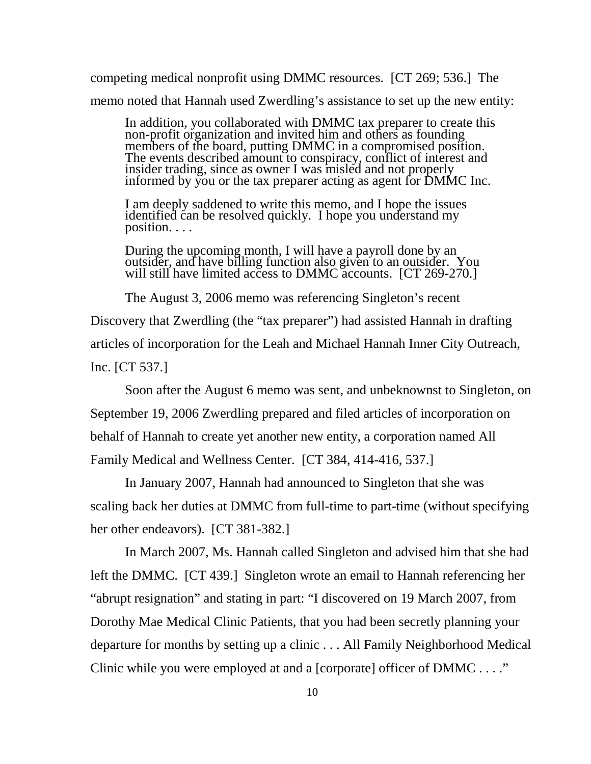competing medical nonprofit using DMMC resources. [CT 269; 536.] The memo noted that Hannah used Zwerdling's assistance to set up the new entity:

In addition, you collaborated with DMMC tax preparer to create this non-profit organization and invited him and others as founding non-profit organization and invited him and others as founding members of the board, putting DMMC in a compromised position. The events described amount to conspiracy, conflict of interest and insider trading, since as owner I was misled and not properly informed by you or the tax preparer acting as agent for DMMC Inc.

I am deeply saddened to write this memo, and I hope the issues identified can be resolved quickly. I hope you understand my position. . . .

During the upcoming month, I will have a payroll done by an outsider, and have billing function also given to an outsider. You will still have limited access to DMMC accounts. [CT 269-270.]

The August 3, 2006 memo was referencing Singleton's recent Discovery that Zwerdling (the "tax preparer") had assisted Hannah in drafting articles of incorporation for the Leah and Michael Hannah Inner City Outreach, Inc. [CT 537.]

Soon after the August 6 memo was sent, and unbeknownst to Singleton, on September 19, 2006 Zwerdling prepared and filed articles of incorporation on behalf of Hannah to create yet another new entity, a corporation named All Family Medical and Wellness Center. [CT 384, 414-416, 537.]

In January 2007, Hannah had announced to Singleton that she was scaling back her duties at DMMC from full-time to part-time (without specifying her other endeavors). [CT 381-382.]

In March 2007, Ms. Hannah called Singleton and advised him that she had left the DMMC. [CT 439.] Singleton wrote an email to Hannah referencing her "abrupt resignation" and stating in part: "I discovered on 19 March 2007, from Dorothy Mae Medical Clinic Patients, that you had been secretly planning your departure for months by setting up a clinic . . . All Family Neighborhood Medical Clinic while you were employed at and a [corporate] officer of DMMC . . . ."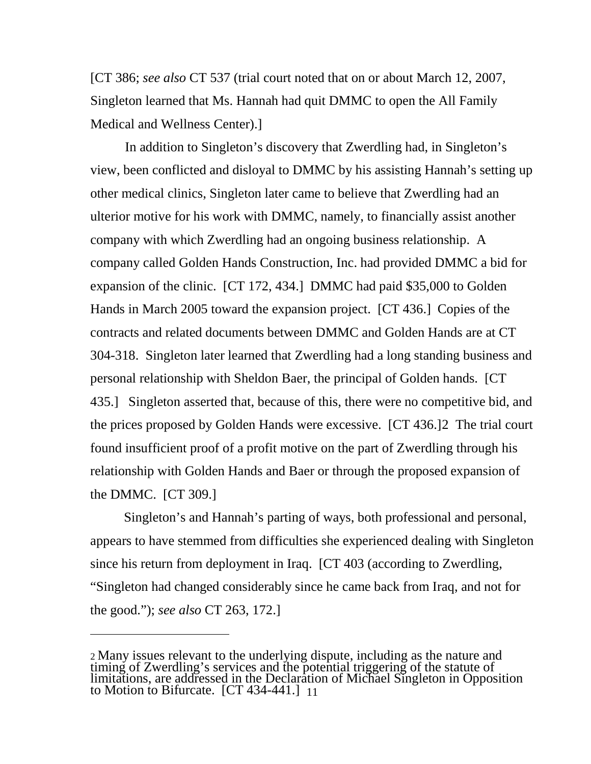[CT 386; *see also* CT 537 (trial court noted that on or about March 12, 2007, Singleton learned that Ms. Hannah had quit DMMC to open the All Family Medical and Wellness Center).]

In addition to Singleton's discovery that Zwerdling had, in Singleton's view, been conflicted and disloyal to DMMC by his assisting Hannah's setting up other medical clinics, Singleton later came to believe that Zwerdling had an ulterior motive for his work with DMMC, namely, to financially assist another company with which Zwerdling had an ongoing business relationship. A company called Golden Hands Construction, Inc. had provided DMMC a bid for expansion of the clinic. [CT 172, 434.] DMMC had paid \$35,000 to Golden Hands in March 2005 toward the expansion project. [CT 436.] Copies of the contracts and related documents between DMMC and Golden Hands are at CT 304-318. Singleton later learned that Zwerdling had a long standing business and personal relationship with Sheldon Baer, the principal of Golden hands. [CT 435.] Singleton asserted that, because of this, there were no competitive bid, and the prices proposed by Golden Hands were excessive. [CT 436.][2](#page-11-0) The trial court found insufficient proof of a profit motive on the part of Zwerdling through his relationship with Golden Hands and Baer or through the proposed expansion of the DMMC. [CT 309.]

 Singleton's and Hannah's parting of ways, both professional and personal, appears to have stemmed from difficulties she experienced dealing with Singleton since his return from deployment in Iraq. [CT 403 (according to Zwerdling, "Singleton had changed considerably since he came back from Iraq, and not for the good."); *see also* CT 263, 172.]

 $\overline{a}$ 

<span id="page-11-0"></span><sup>2</sup> Many issues relevant to the underlying dispute, including as the nature and<br>timing of Zwerdling's services and the potential triggering of the statute of<br>limitations, are addressed in the Declaration of Michael Singleton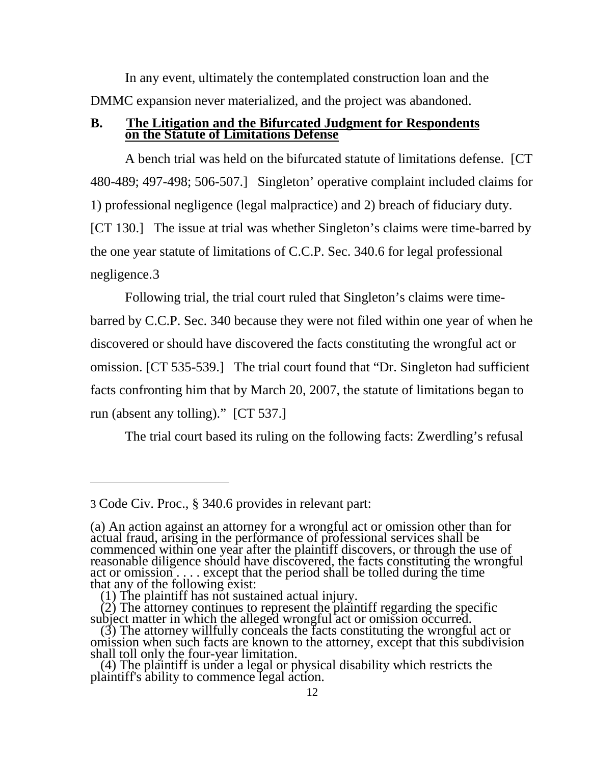In any event, ultimately the contemplated construction loan and the DMMC expansion never materialized, and the project was abandoned.

#### **B. The Litigation and the Bifurcated Judgment for Respondents on the Statute of Limitations Defense**

A bench trial was held on the bifurcated statute of limitations defense. [CT 480-489; 497-498; 506-507.] Singleton' operative complaint included claims for 1) professional negligence (legal malpractice) and 2) breach of fiduciary duty. [CT 130.] The issue at trial was whether Singleton's claims were time-barred by the one year statute of limitations of C.C.P. Sec. 340.6 for legal professional negligence.[3](#page-12-0)

Following trial, the trial court ruled that Singleton's claims were timebarred by C.C.P. Sec. 340 because they were not filed within one year of when he discovered or should have discovered the facts constituting the wrongful act or omission. [CT 535-539.] The trial court found that "Dr. Singleton had sufficient facts confronting him that by March 20, 2007, the statute of limitations began to run (absent any tolling)." [CT 537.]

The trial court based its ruling on the following facts: Zwerdling's refusal

 $\overline{a}$ 

<span id="page-12-0"></span><sup>3</sup> Code Civ. Proc., § 340.6 provides in relevant part:

<sup>(</sup>a) An action against an attorney for a wrongful act or omission other than for actual fraud, arising in the performance of professional services shall be<br>commenced within one year after the plaintiff discovers, or through the use of<br>reasonable diligence should have discovered, the facts constituting act or omission . . . . except that the period shall be tolled during the time<br>that any of the following exist: (1) The plaintiff has not sustained actual injury.

<sup>(2)</sup> The attorney continues to represent the plaintiff regarding the specific<br>subject matter in which the alleged wrongful act or omission occurred.<br>(3) The attorney willfully conceals the facts constituting the wrongful a

<sup>(4)</sup> The plaintiff is under a legal or physical disability which restricts the plaintiff's ability to commence legal action.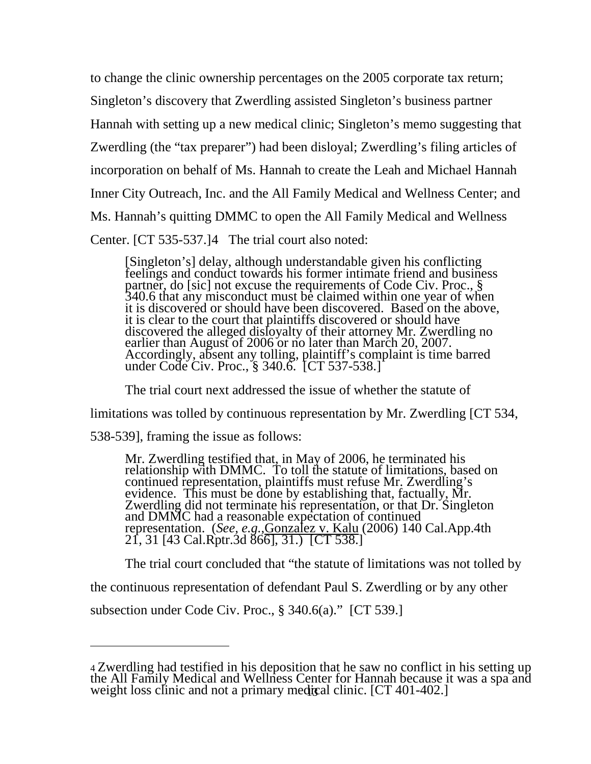to change the clinic ownership percentages on the 2005 corporate tax return; Singleton's discovery that Zwerdling assisted Singleton's business partner Hannah with setting up a new medical clinic; Singleton's memo suggesting that Zwerdling (the "tax preparer") had been disloyal; Zwerdling's filing articles of incorporation on behalf of Ms. Hannah to create the Leah and Michael Hannah Inner City Outreach, Inc. and the All Family Medical and Wellness Center; and Ms. Hannah's quitting DMMC to open the All Family Medical and Wellness Center. [CT 535-537.][4](#page-13-0) The trial court also noted:

[Singleton's] delay, although understandable given his conflicting feelings and conduct towards his former intimate friend and business partner, do [sic] not excuse the requirements of Code Civ. Proc., § 340.6 that any misconduct must be claimed within one year of when it is discovered or should have been discovered. Based on the above, it is clear to the court that plaintiffs discovered or should have discovered the alleged disloyalty of their attorney Mr. Zwerdling no earlier than August of 2006 or no later than March 20, 2007. Accordingly, absent any tolling, plaintiff's complaint is time barred under Code Civ. Proc., § 340.6. [CT 537-538.]

The trial court next addressed the issue of whether the statute of limitations was tolled by continuous representation by Mr. Zwerdling [CT 534,

538-539], framing the issue as follows:

 $\overline{a}$ 

Mr. Zwerdling testified that, in May of 2006, he terminated his relationship with DMMC. To toll the statute of limitations, based on continued representation, plaintiffs must refuse Mr. Zwerdling's evidence. This must be done by establishing that, factually, Mr. Zwerdling did not terminate his representation, or that Dr. Singleton and Demession of Continued representation. (*See, e.g.,Gonzalez v. Kalu* (2006) 140 Cal.App.4th 21, 31 [43 Cal.Rptr.3d 866], 31.) [CT 538.]

The trial court concluded that "the statute of limitations was not tolled by the continuous representation of defendant Paul S. Zwerdling or by any other subsection under Code Civ. Proc., § 340.6(a)." [CT 539.]

<span id="page-13-0"></span><sup>4</sup> Zwerdling had testified in his deposition that he saw no conflict in his setting up the All Family Medical and Wellness Center for Hannah because it was a spa and weight loss clinic and not a primary medical clinic. [CT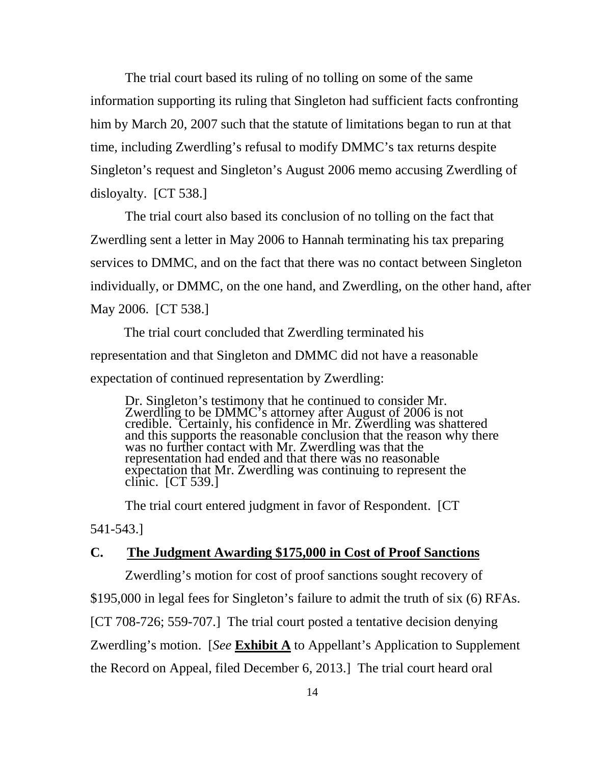The trial court based its ruling of no tolling on some of the same information supporting its ruling that Singleton had sufficient facts confronting him by March 20, 2007 such that the statute of limitations began to run at that time, including Zwerdling's refusal to modify DMMC's tax returns despite Singleton's request and Singleton's August 2006 memo accusing Zwerdling of disloyalty. [CT 538.]

The trial court also based its conclusion of no tolling on the fact that Zwerdling sent a letter in May 2006 to Hannah terminating his tax preparing services to DMMC, and on the fact that there was no contact between Singleton individually, or DMMC, on the one hand, and Zwerdling, on the other hand, after May 2006. [CT 538.]

 The trial court concluded that Zwerdling terminated his representation and that Singleton and DMMC did not have a reasonable expectation of continued representation by Zwerdling:

Dr. Singleton's testimony that he continued to consider Mr. Zwerdling to be DMMC's attorney after August of 2006 is not credible. Certainly, his confidence in Mr. Zwerdling was shattered and this supports the reasonable conclusion that the reason why there was no further contact with Mr. Zwerdling was that the representation had ended and that there was no reasonable expectation that Mr. Zwerdling was continuing to represent the clinic. [CT 539.]

The trial court entered judgment in favor of Respondent. [CT

541-543.]

#### **C. The Judgment Awarding \$175,000 in Cost of Proof Sanctions**

Zwerdling's motion for cost of proof sanctions sought recovery of \$195,000 in legal fees for Singleton's failure to admit the truth of six (6) RFAs. [CT 708-726; 559-707.] The trial court posted a tentative decision denying Zwerdling's motion. [*See* **Exhibit A** to Appellant's Application to Supplement the Record on Appeal, filed December 6, 2013.] The trial court heard oral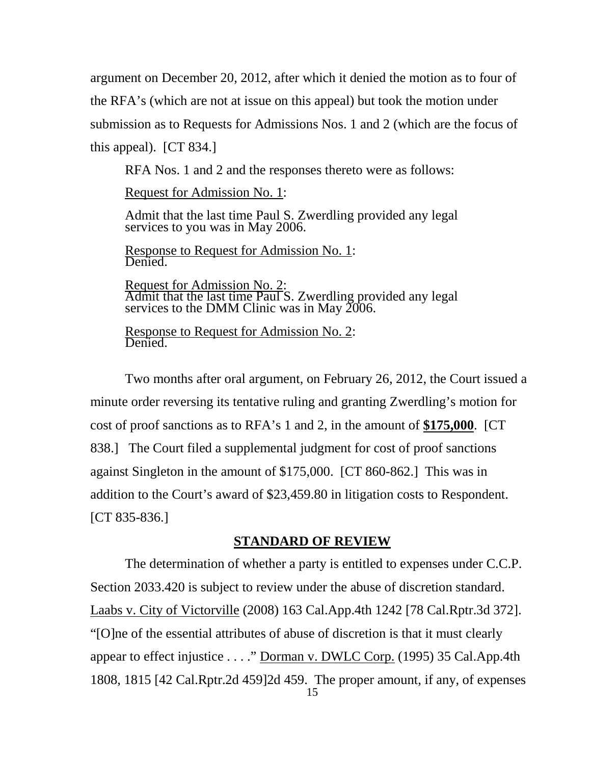argument on December 20, 2012, after which it denied the motion as to four of the RFA's (which are not at issue on this appeal) but took the motion under submission as to Requests for Admissions Nos. 1 and 2 (which are the focus of this appeal). [CT 834.]

RFA Nos. 1 and 2 and the responses thereto were as follows:

Request for Admission No. 1:

Admit that the last time Paul S. Zwerdling provided any legal services to you was in May 2006.

Response to Request for Admission No. 1: Denied.

Request for Admission No. 2: Admit that the last time Paul S. Zwerdling provided any legal services to the DMM Clinic was in May 2006.

Response to Request for Admission No. 2: Denied.

Two months after oral argument, on February 26, 2012, the Court issued a minute order reversing its tentative ruling and granting Zwerdling's motion for cost of proof sanctions as to RFA's 1 and 2, in the amount of **\$175,000**. [CT 838.] The Court filed a supplemental judgment for cost of proof sanctions against Singleton in the amount of \$175,000. [CT 860-862.] This was in addition to the Court's award of \$23,459.80 in litigation costs to Respondent. [CT 835-836.]

#### **STANDARD OF REVIEW**

The determination of whether a party is entitled to expenses under C.C.P. Section 2033.420 is subject to review under the abuse of discretion standard. Laabs v. City of Victorville (2008) 163 Cal.App.4th 1242 [78 Cal.Rptr.3d 372]. "[O]ne of the essential attributes of abuse of discretion is that it must clearly appear to effect injustice . . . ." Dorman v. DWLC Corp. (1995) 35 Cal.App.4th 1808, 1815 [42 Cal.Rptr.2d 459]2d 459. The proper amount, if any, of expenses 15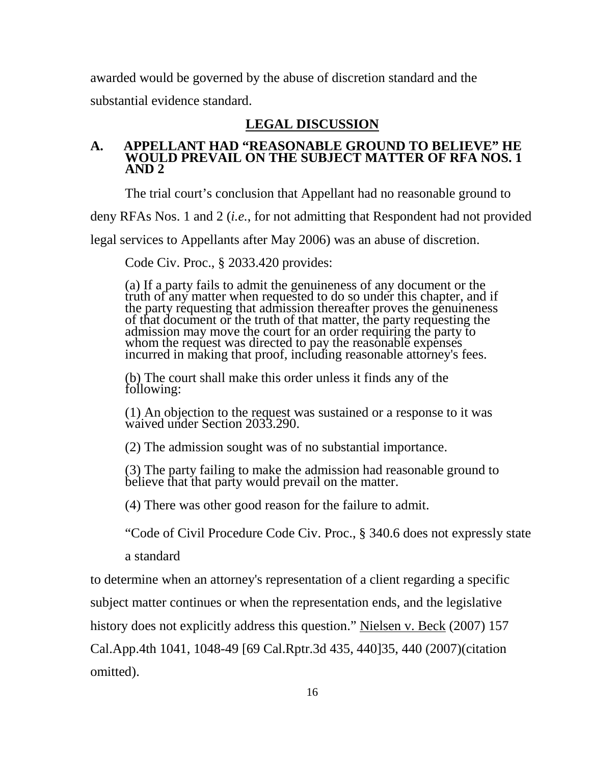awarded would be governed by the abuse of discretion standard and the substantial evidence standard.

#### **LEGAL DISCUSSION**

#### **A. APPELLANT HAD "REASONABLE GROUND TO BELIEVE" HE WOULD PREVAIL ON THE SUBJECT MATTER OF RFA NOS. 1 AND 2**

The trial court's conclusion that Appellant had no reasonable ground to

deny RFAs Nos. 1 and 2 (*i.e.*, for not admitting that Respondent had not provided

legal services to Appellants after May 2006) was an abuse of discretion.

Code Civ. Proc., § 2033.420 provides:

(a) If a party fails to admit the genuineness of any document or the truth of any matter when requested to do so under this chapter, and if the party requesting that admission thereafter proves the genuineness of that document or the truth of that matter, the party requesting the admission may move the court for an order requiring the party to whom the request was directed to pay the reasonable expenses incurred in making that proof, including reasonable attorney's fees.

(b) The court shall make this order unless it finds any of the following:

(1) An objection to the request was sustained or a response to it was waived under Section 2033.290.

(2) The admission sought was of no substantial importance.

(3) The party failing to make the admission had reasonable ground to believe that that party would prevail on the matter.

(4) There was other good reason for the failure to admit.

"Code of Civil Procedure Code Civ. Proc., § 340.6 does not expressly state

a standard

to determine when an attorney's representation of a client regarding a specific

subject matter continues or when the representation ends, and the legislative

history does not explicitly address this question." Nielsen v. Beck (2007) 157

Cal.App.4th 1041, 1048-49 [69 Cal.Rptr.3d 435, 440]35, 440 (2007)(citation omitted).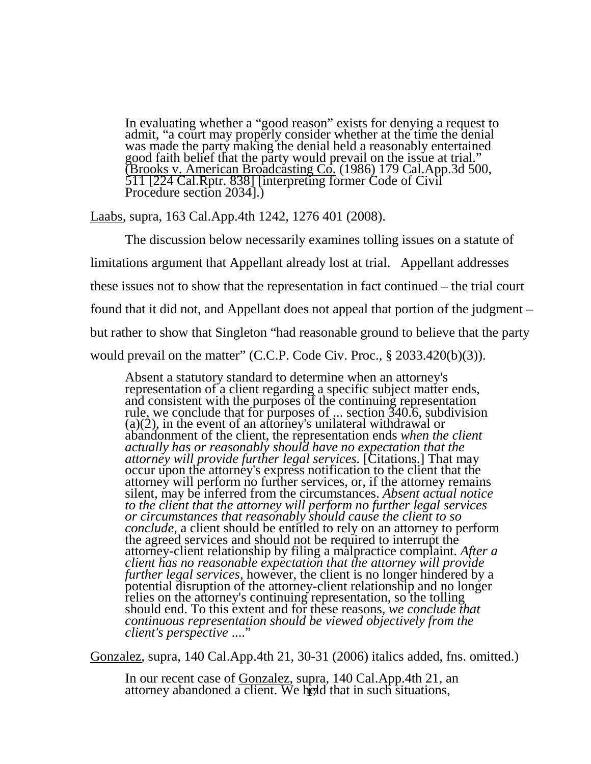In evaluating whether a "good reason" exists for denying a request to admit, "a court may properly consider whether at the time the denial was made the party making the denial held a reasonably entertained good faith belief that the party would prevail on the issue at trial." (Brooks v. American Broadcasting Co. (1986) 179 Cal.App.3d 500,<br>511 [224 Cal.Rptr. 838] [interpreting former Code of Civil<br>Procedure section 2034].)

Laabs, supra, 163 Cal.App.4th 1242, 1276 401 (2008).

The discussion below necessarily examines tolling issues on a statute of limitations argument that Appellant already lost at trial. Appellant addresses these issues not to show that the representation in fact continued – the trial court found that it did not, and Appellant does not appeal that portion of the judgment – but rather to show that Singleton "had reasonable ground to believe that the party would prevail on the matter" (C.C.P. Code Civ. Proc., § 2033.420(b)(3)).

Absent a statutory standard to determine when an attorney's representation of a client regarding a specific subject matter ends, and consistent with the purposes of the continuing representation rule, we conclude that for purposes of ... section 340.6, subdivision (a)(2), in the event of an attorney's unilateral withdrawal or abandonment of the client, the representation ends *when the client actually has or reasonably should have no expectation that the attorney will provide further legal services.* [Citations.] That may occur upon the attorney's express notification to the client that the attorney will perform no further services, or, if the attorney remains silent, may be inferred from the circumstances. *Absent actual notice to the client that the attorney will perform no further legal services or circumstances that reasonably should cause the client to so conclude,* a client should be entitled to rely on an attorney to perform the agreed services and should not be required to interrupt the attorney-client relationship by filing a malpractice complaint. *After a client has no reasonable expectation that the attorney will provide*  further legal services, however, the client is no longer hindered by a potential disruption of the attorney-client relationship and no longer relies on the attorney's continuing representation, so the tolling should end. T *continuous representation should be viewed objectively from the client's perspective* ...."

Gonzalez, supra, 140 Cal.App.4th 21, 30-31 (2006) italics added, fns. omitted.)

In our recent case of Gonzalez, supra, 140 Cal.App.4th 21, an attorney abandoned a client. We held that in such situations,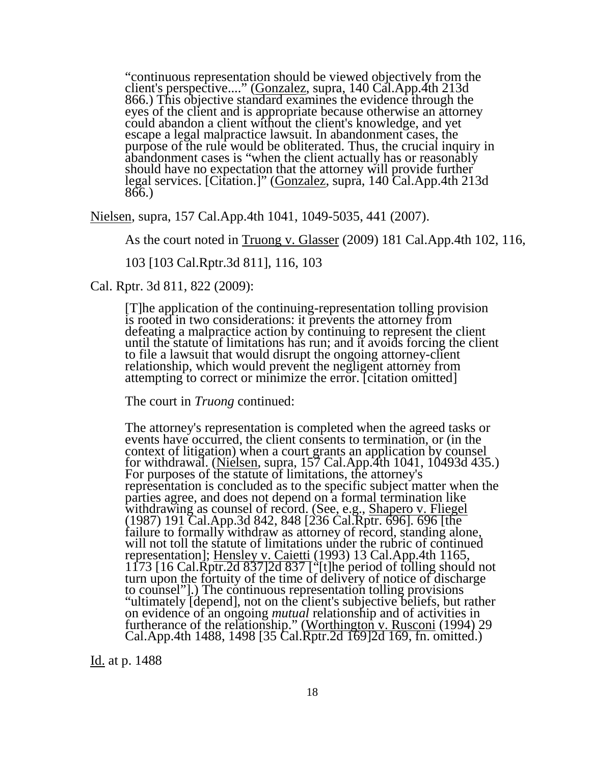"continuous representation should be viewed objectively from the client's perspective...." (Gonzalez, supra, 140 Cal.App.4th 213d 866.) This objective standard examines the evidence through the 866.) This objective standard examines the evidence through the eyes of the client and is appropriate because otherwise an attorney could abandon a client without the client's knowledge, and yet escape a legal malpractice lawsuit. In abandonment cases, the purpose of the rule would be obliterated. Thus, the crucial inquiry in abandonment cases is "when the client actually has or reasonably should have no expectation that the attorney will provide further legal services. [Citation.]" (Gonzalez, supra, 140 Cal.App.4th 213d 866.)

Nielsen, supra, 157 Cal.App.4th 1041, 1049-5035, 441 (2007).

As the court noted in Truong v. Glasser (2009) 181 Cal.App.4th 102, 116,

103 [103 Cal.Rptr.3d 811], 116, 103

Cal. Rptr. 3d 811, 822 (2009):

[T]he application of the continuing-representation tolling provision is rooted in two considerations: it prevents the attorney from defeating a malpractice action by continuing to represent the client until the statute of limitations has run; and it avoids forcing the client to file a lawsuit that would disrupt the ongoing attorney-client relationship, which would prevent the negligent attorney from attempting to correct or minimize the error. [citation omitted]

The court in *Truong* continued:

The attorney's representation is completed when the agreed tasks or events have occurred, the client consents to termination, or (in the context of litigation) when a court grants an application by counsel for withdrawal. (<u>Nielsen</u>, supra, 157 Cal.App.4th 1041, 10493d 435.)<br>For purposes of the statute of limitations, the attorney's representation is concluded as to the specific subject matter when the parties agree, and does not depend on a formal termination like withdrawing as counsel of record. (See, e.g., Shapero v. Fliegel (1987) 191 Cal.App.3d 842, 848 [236 Cal.Rptr. 696]. 696 [the failure to formally withdraw as attorney of record, standing alone, will not toll the statute of limitations under the rubric of continued representation]; Hensley v. Caietti (1993) 13 Cal.App.4th 1165, 1173 [16 Cal.Rptr.2d 837]2d 837 ["[t]he period of tolling should not turn upon the fortuity of the time of delivery of notice of discharge to counsel"].) The continuous representation tolling provisions "ultimately [depend], not on the client's subjective beliefs, but rather on evidence of an ongoing *mutual* relationship and of activities in furtherance of the relationship." (Worthington v. Rusconi (1994) 29 Cal.App.4th 1488, 1498 [35 Cal.Rptr.2d 169]2d 169, fn. omitted.)

Id. at p. 1488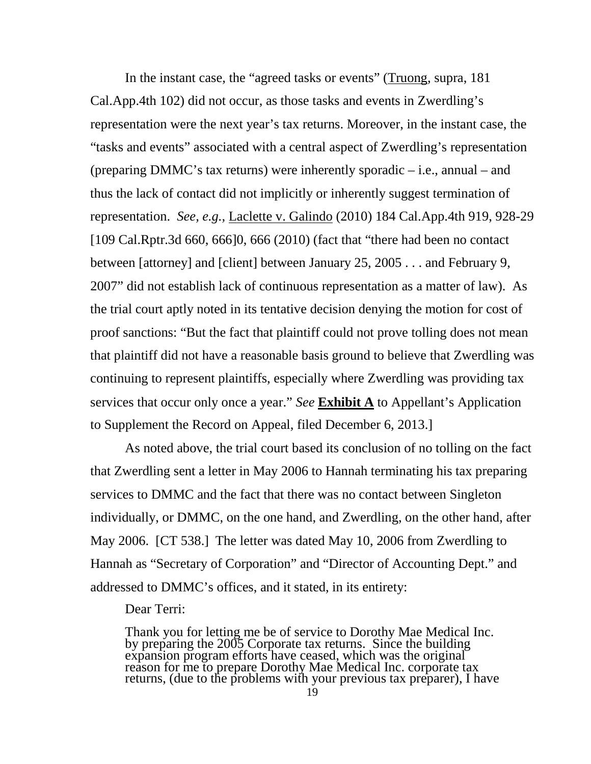In the instant case, the "agreed tasks or events" (Truong, supra, 181 Cal.App.4th 102) did not occur, as those tasks and events in Zwerdling's representation were the next year's tax returns. Moreover, in the instant case, the "tasks and events" associated with a central aspect of Zwerdling's representation (preparing DMMC's tax returns) were inherently sporadic – i.e., annual – and thus the lack of contact did not implicitly or inherently suggest termination of representation. *See, e.g.,* Laclette v. Galindo (2010) 184 Cal.App.4th 919, 928-29 [109 Cal.Rptr.3d 660, 666]0, 666 (2010) (fact that "there had been no contact between [attorney] and [client] between January 25, 2005 . . . and February 9, 2007" did not establish lack of continuous representation as a matter of law). As the trial court aptly noted in its tentative decision denying the motion for cost of proof sanctions: "But the fact that plaintiff could not prove tolling does not mean that plaintiff did not have a reasonable basis ground to believe that Zwerdling was continuing to represent plaintiffs, especially where Zwerdling was providing tax services that occur only once a year." *See* **Exhibit A** to Appellant's Application to Supplement the Record on Appeal, filed December 6, 2013.]

As noted above, the trial court based its conclusion of no tolling on the fact that Zwerdling sent a letter in May 2006 to Hannah terminating his tax preparing services to DMMC and the fact that there was no contact between Singleton individually, or DMMC, on the one hand, and Zwerdling, on the other hand, after May 2006. [CT 538.] The letter was dated May 10, 2006 from Zwerdling to Hannah as "Secretary of Corporation" and "Director of Accounting Dept." and addressed to DMMC's offices, and it stated, in its entirety:

Dear Terri:

Thank you for letting me be of service to Dorothy Mae Medical Inc. by preparing the 2005 Corporate tax returns. Since the building expansion program efforts have ceased, which was the original reason for me to prepare Dorothy Mae Medical Inc. corporate tax returns, (due to the problems with your previous tax preparer), I have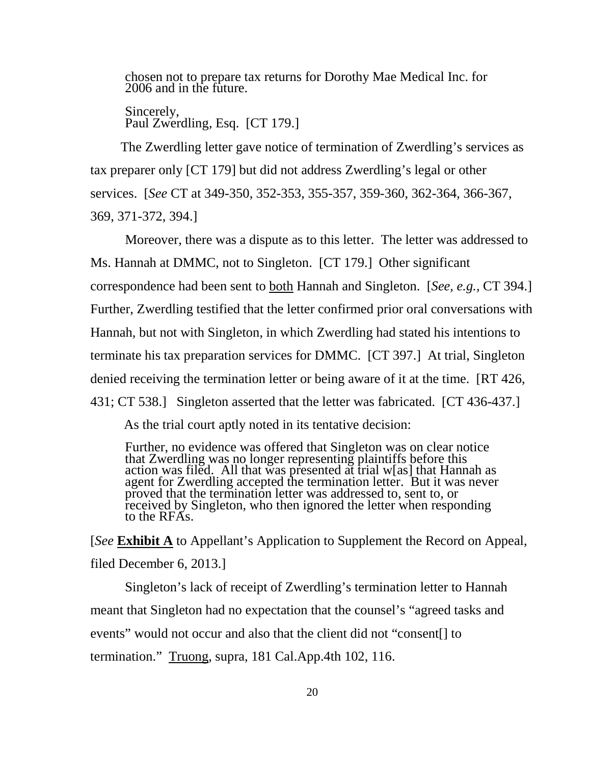chosen not to prepare tax returns for Dorothy Mae Medical Inc. for 2006 and in the future.

Sincerely, Paul Zwerdling, Esq. [CT 179.]

 The Zwerdling letter gave notice of termination of Zwerdling's services as tax preparer only [CT 179] but did not address Zwerdling's legal or other services. [*See* CT at 349-350, 352-353, 355-357, 359-360, 362-364, 366-367, 369, 371-372, 394.]

Moreover, there was a dispute as to this letter. The letter was addressed to Ms. Hannah at DMMC, not to Singleton. [CT 179.] Other significant correspondence had been sent to both Hannah and Singleton. [*See, e.g.,* CT 394.] Further, Zwerdling testified that the letter confirmed prior oral conversations with Hannah, but not with Singleton, in which Zwerdling had stated his intentions to terminate his tax preparation services for DMMC. [CT 397.] At trial, Singleton denied receiving the termination letter or being aware of it at the time. [RT 426, 431; CT 538.] Singleton asserted that the letter was fabricated. [CT 436-437.]

As the trial court aptly noted in its tentative decision:

Further, no evidence was offered that Singleton was on clear notice that Zwerdling was no longer representing plaintiffs before this action was filed. All that was presented at trial w[as] that Hannah as agent for Zwerdling accepted the termination letter. But it was never proved that the termination letter was addressed to, sent to, or received by Singleton, who then ignored the letter when responding to the RFA<sub>s</sub>.

[*See* **Exhibit A** to Appellant's Application to Supplement the Record on Appeal, filed December 6, 2013.]

Singleton's lack of receipt of Zwerdling's termination letter to Hannah meant that Singleton had no expectation that the counsel's "agreed tasks and events" would not occur and also that the client did not "consent[] to termination." Truong, supra, 181 Cal.App.4th 102, 116.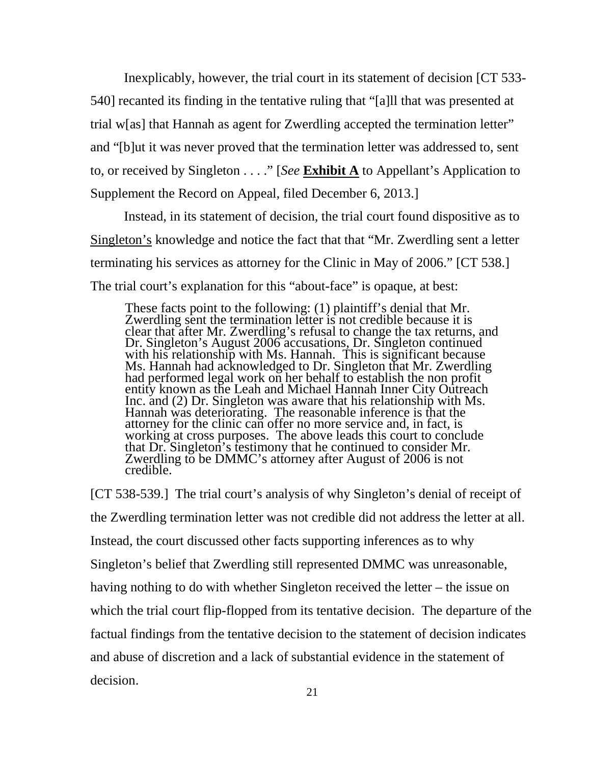Inexplicably, however, the trial court in its statement of decision [CT 533- 540] recanted its finding in the tentative ruling that "[a]ll that was presented at trial w[as] that Hannah as agent for Zwerdling accepted the termination letter" and "[b]ut it was never proved that the termination letter was addressed to, sent to, or received by Singleton . . . ." [*See* **Exhibit A** to Appellant's Application to Supplement the Record on Appeal, filed December 6, 2013.]

 Instead, in its statement of decision, the trial court found dispositive as to Singleton's knowledge and notice the fact that that "Mr. Zwerdling sent a letter terminating his services as attorney for the Clinic in May of 2006." [CT 538.] The trial court's explanation for this "about-face" is opaque, at best:

These facts point to the following: (1) plaintiff's denial that Mr. Zwerdling sent the termination letter is not credible because it is clear that after Mr. Zwerdling's refusal to change the tax returns, and Dr. Singleton's August 2006 accusations, Dr. Singleton continued with his relationship with Ms. Hannah. This is significant because Ms. Hannah had acknowledged to Dr. Singleton that Mr. Zwerdling had performed legal work on her behalf to establish the non profit entity known as the Leah and Michael Hannah Inner City Outreach Inc. and (2) Dr. Singleton was aware that his relationship with Ms. Hannah was deteriorating. The reasonable inference is that the attorney for the clinic can offer no more service and, in fact, is working at cross purposes. The above leads this court to conclude that Dr. Singleton's testimony that he continued to consider Mr. Zwerdling to be DMMC's attorney after August of 2006 is not credible.

[CT 538-539.] The trial court's analysis of why Singleton's denial of receipt of the Zwerdling termination letter was not credible did not address the letter at all. Instead, the court discussed other facts supporting inferences as to why Singleton's belief that Zwerdling still represented DMMC was unreasonable, having nothing to do with whether Singleton received the letter – the issue on which the trial court flip-flopped from its tentative decision. The departure of the factual findings from the tentative decision to the statement of decision indicates and abuse of discretion and a lack of substantial evidence in the statement of decision. 21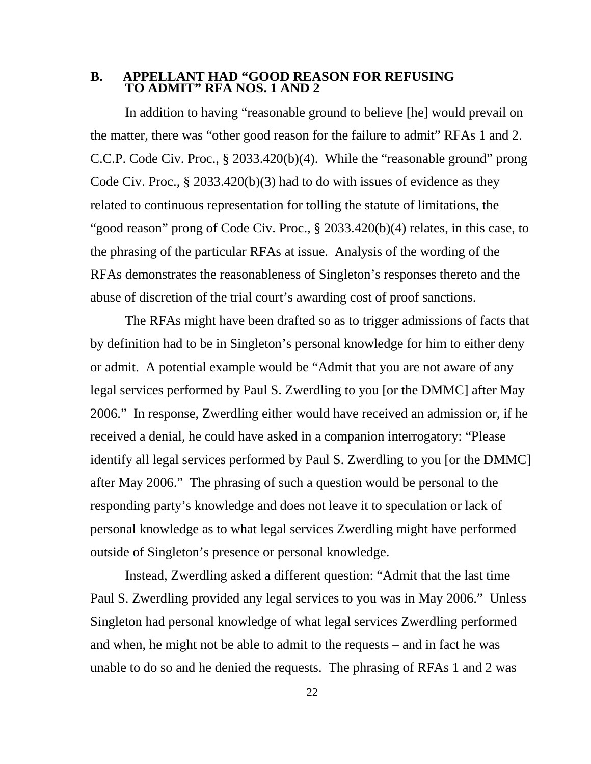#### **B. APPELLANT HAD "GOOD REASON FOR REFUSING TO ADMIT" RFA NOS. 1 AND 2**

In addition to having "reasonable ground to believe [he] would prevail on the matter, there was "other good reason for the failure to admit" RFAs 1 and 2. C.C.P. Code Civ. Proc., § 2033.420(b)(4). While the "reasonable ground" prong Code Civ. Proc., § 2033.420(b)(3) had to do with issues of evidence as they related to continuous representation for tolling the statute of limitations, the "good reason" prong of Code Civ. Proc., § 2033.420(b)(4) relates, in this case, to the phrasing of the particular RFAs at issue. Analysis of the wording of the RFAs demonstrates the reasonableness of Singleton's responses thereto and the abuse of discretion of the trial court's awarding cost of proof sanctions.

The RFAs might have been drafted so as to trigger admissions of facts that by definition had to be in Singleton's personal knowledge for him to either deny or admit. A potential example would be "Admit that you are not aware of any legal services performed by Paul S. Zwerdling to you [or the DMMC] after May 2006." In response, Zwerdling either would have received an admission or, if he received a denial, he could have asked in a companion interrogatory: "Please identify all legal services performed by Paul S. Zwerdling to you [or the DMMC] after May 2006." The phrasing of such a question would be personal to the responding party's knowledge and does not leave it to speculation or lack of personal knowledge as to what legal services Zwerdling might have performed outside of Singleton's presence or personal knowledge.

Instead, Zwerdling asked a different question: "Admit that the last time Paul S. Zwerdling provided any legal services to you was in May 2006." Unless Singleton had personal knowledge of what legal services Zwerdling performed and when, he might not be able to admit to the requests – and in fact he was unable to do so and he denied the requests. The phrasing of RFAs 1 and 2 was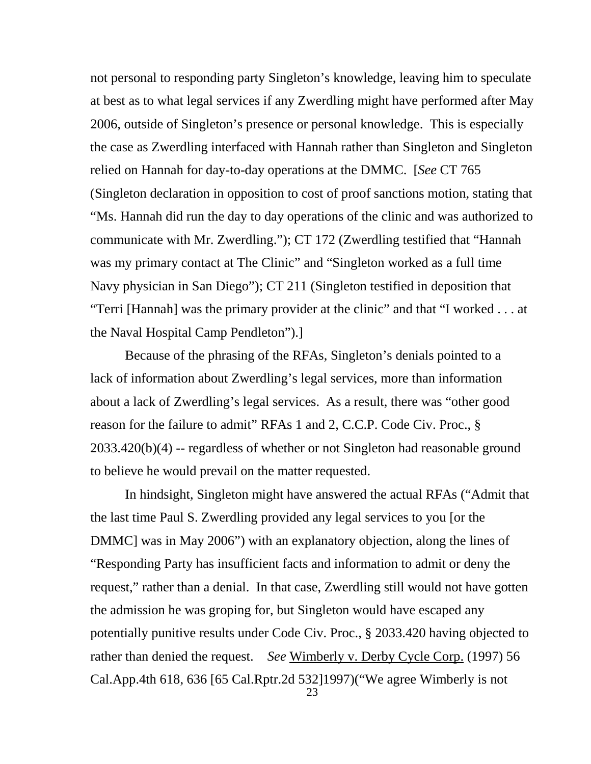not personal to responding party Singleton's knowledge, leaving him to speculate at best as to what legal services if any Zwerdling might have performed after May 2006, outside of Singleton's presence or personal knowledge. This is especially the case as Zwerdling interfaced with Hannah rather than Singleton and Singleton relied on Hannah for day-to-day operations at the DMMC. [*See* CT 765 (Singleton declaration in opposition to cost of proof sanctions motion, stating that "Ms. Hannah did run the day to day operations of the clinic and was authorized to communicate with Mr. Zwerdling."); CT 172 (Zwerdling testified that "Hannah was my primary contact at The Clinic" and "Singleton worked as a full time Navy physician in San Diego"); CT 211 (Singleton testified in deposition that "Terri [Hannah] was the primary provider at the clinic" and that "I worked . . . at the Naval Hospital Camp Pendleton").]

Because of the phrasing of the RFAs, Singleton's denials pointed to a lack of information about Zwerdling's legal services, more than information about a lack of Zwerdling's legal services. As a result, there was "other good reason for the failure to admit" RFAs 1 and 2, C.C.P. Code Civ. Proc., § 2033.420(b)(4) -- regardless of whether or not Singleton had reasonable ground to believe he would prevail on the matter requested.

In hindsight, Singleton might have answered the actual RFAs ("Admit that the last time Paul S. Zwerdling provided any legal services to you [or the DMMC] was in May 2006") with an explanatory objection, along the lines of "Responding Party has insufficient facts and information to admit or deny the request," rather than a denial. In that case, Zwerdling still would not have gotten the admission he was groping for, but Singleton would have escaped any potentially punitive results under Code Civ. Proc., § 2033.420 having objected to rather than denied the request. *See* Wimberly v. Derby Cycle Corp. (1997) 56 Cal.App.4th 618, 636 [65 Cal.Rptr.2d 532]1997)("We agree Wimberly is not 23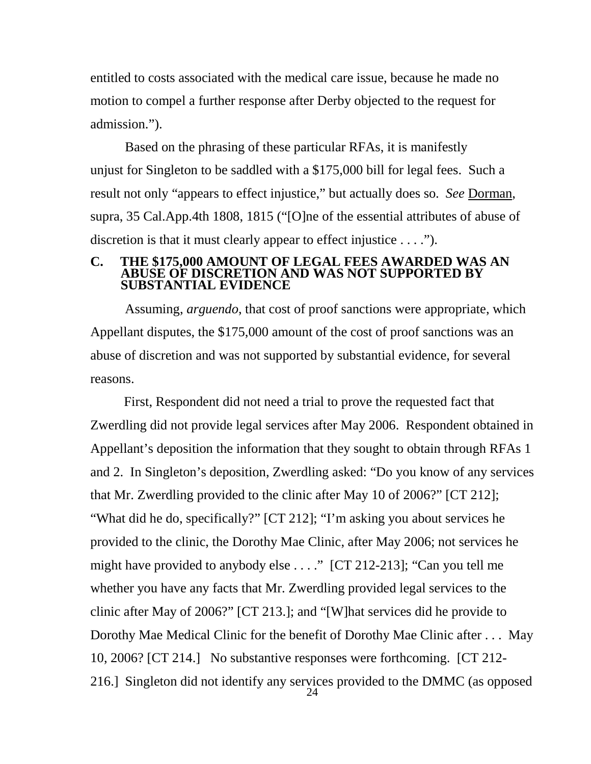entitled to costs associated with the medical care issue, because he made no motion to compel a further response after Derby objected to the request for admission.").

Based on the phrasing of these particular RFAs, it is manifestly unjust for Singleton to be saddled with a \$175,000 bill for legal fees. Such a result not only "appears to effect injustice," but actually does so. *See* Dorman, supra, 35 Cal.App.4th 1808, 1815 ("[O]ne of the essential attributes of abuse of discretion is that it must clearly appear to effect injustice . . . .").

# **C. THE \$175,000 AMOUNT OF LEGAL FEES AWARDED WAS AN ABUSE OF DISCRETION AND WAS NOT SUPPORTED BY SUBSTANTIAL EVIDENCE**

Assuming, *arguendo*, that cost of proof sanctions were appropriate, which Appellant disputes, the \$175,000 amount of the cost of proof sanctions was an abuse of discretion and was not supported by substantial evidence, for several reasons.

 First, Respondent did not need a trial to prove the requested fact that Zwerdling did not provide legal services after May 2006. Respondent obtained in Appellant's deposition the information that they sought to obtain through RFAs 1 and 2. In Singleton's deposition, Zwerdling asked: "Do you know of any services that Mr. Zwerdling provided to the clinic after May 10 of 2006?" [CT 212]; "What did he do, specifically?" [CT 212]; "I'm asking you about services he provided to the clinic, the Dorothy Mae Clinic, after May 2006; not services he might have provided to anybody else . . . ." [CT 212-213]; "Can you tell me whether you have any facts that Mr. Zwerdling provided legal services to the clinic after May of 2006?" [CT 213.]; and "[W]hat services did he provide to Dorothy Mae Medical Clinic for the benefit of Dorothy Mae Clinic after . . . May 10, 2006? [CT 214.] No substantive responses were forthcoming. [CT 212- 216.] Singleton did not identify any services provided to the DMMC (as opposed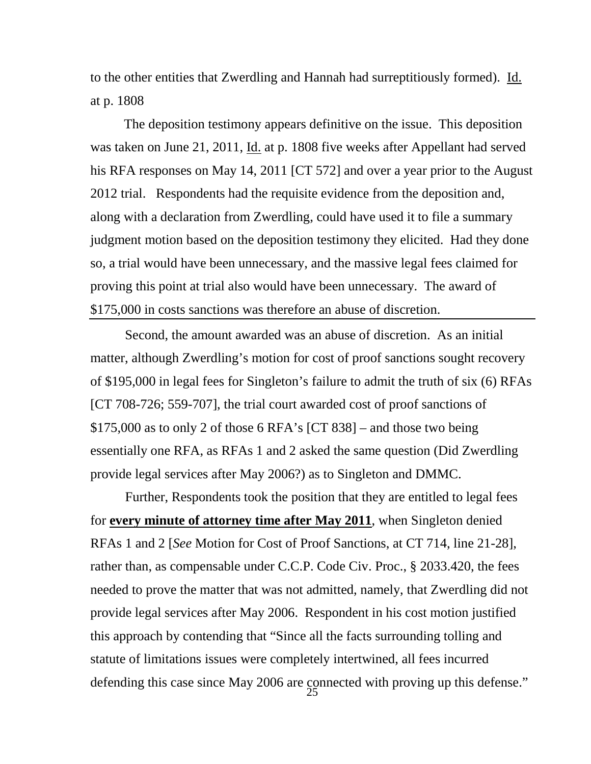to the other entities that Zwerdling and Hannah had surreptitiously formed). Id. at p. 1808

 The deposition testimony appears definitive on the issue. This deposition was taken on June 21, 2011, Id. at p. 1808 five weeks after Appellant had served his RFA responses on May 14, 2011 [CT 572] and over a year prior to the August 2012 trial. Respondents had the requisite evidence from the deposition and, along with a declaration from Zwerdling, could have used it to file a summary judgment motion based on the deposition testimony they elicited. Had they done so, a trial would have been unnecessary, and the massive legal fees claimed for proving this point at trial also would have been unnecessary. The award of \$175,000 in costs sanctions was therefore an abuse of discretion.

Second, the amount awarded was an abuse of discretion. As an initial matter, although Zwerdling's motion for cost of proof sanctions sought recovery of \$195,000 in legal fees for Singleton's failure to admit the truth of six (6) RFAs [CT 708-726; 559-707], the trial court awarded cost of proof sanctions of \$175,000 as to only 2 of those 6 RFA's [CT 838] – and those two being essentially one RFA, as RFAs 1 and 2 asked the same question (Did Zwerdling provide legal services after May 2006?) as to Singleton and DMMC.

Further, Respondents took the position that they are entitled to legal fees for **every minute of attorney time after May 2011**, when Singleton denied RFAs 1 and 2 [*See* Motion for Cost of Proof Sanctions, at CT 714, line 21-28], rather than, as compensable under C.C.P. Code Civ. Proc., § 2033.420, the fees needed to prove the matter that was not admitted, namely, that Zwerdling did not provide legal services after May 2006. Respondent in his cost motion justified this approach by contending that "Since all the facts surrounding tolling and statute of limitations issues were completely intertwined, all fees incurred defending this case since May 2006 are connected with proving up this defense."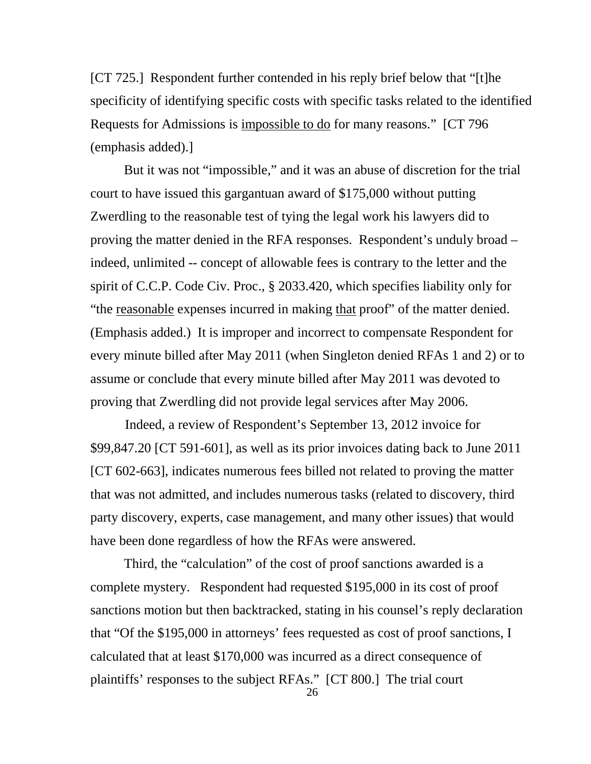[CT 725.] Respondent further contended in his reply brief below that "[t]he specificity of identifying specific costs with specific tasks related to the identified Requests for Admissions is impossible to do for many reasons." [CT 796 (emphasis added).]

 But it was not "impossible," and it was an abuse of discretion for the trial court to have issued this gargantuan award of \$175,000 without putting Zwerdling to the reasonable test of tying the legal work his lawyers did to proving the matter denied in the RFA responses. Respondent's unduly broad – indeed, unlimited -- concept of allowable fees is contrary to the letter and the spirit of C.C.P. Code Civ. Proc., § 2033.420, which specifies liability only for "the reasonable expenses incurred in making that proof" of the matter denied. (Emphasis added.) It is improper and incorrect to compensate Respondent for every minute billed after May 2011 (when Singleton denied RFAs 1 and 2) or to assume or conclude that every minute billed after May 2011 was devoted to proving that Zwerdling did not provide legal services after May 2006.

Indeed, a review of Respondent's September 13, 2012 invoice for \$99,847.20 [CT 591-601], as well as its prior invoices dating back to June 2011 [CT 602-663], indicates numerous fees billed not related to proving the matter that was not admitted, and includes numerous tasks (related to discovery, third party discovery, experts, case management, and many other issues) that would have been done regardless of how the RFAs were answered.

 Third, the "calculation" of the cost of proof sanctions awarded is a complete mystery. Respondent had requested \$195,000 in its cost of proof sanctions motion but then backtracked, stating in his counsel's reply declaration that "Of the \$195,000 in attorneys' fees requested as cost of proof sanctions, I calculated that at least \$170,000 was incurred as a direct consequence of plaintiffs' responses to the subject RFAs." [CT 800.] The trial court

26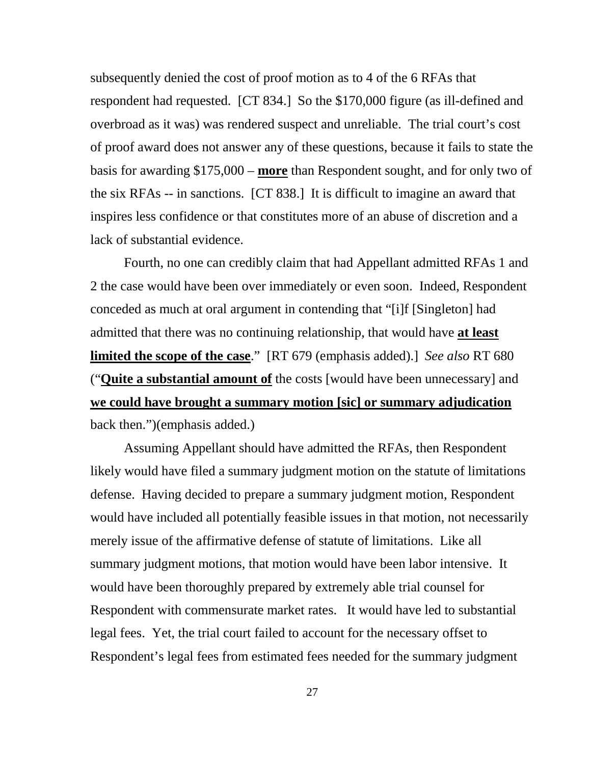subsequently denied the cost of proof motion as to 4 of the 6 RFAs that respondent had requested. [CT 834.] So the \$170,000 figure (as ill-defined and overbroad as it was) was rendered suspect and unreliable. The trial court's cost of proof award does not answer any of these questions, because it fails to state the basis for awarding \$175,000 – **more** than Respondent sought, and for only two of the six RFAs -- in sanctions. [CT 838.] It is difficult to imagine an award that inspires less confidence or that constitutes more of an abuse of discretion and a lack of substantial evidence.

 Fourth, no one can credibly claim that had Appellant admitted RFAs 1 and 2 the case would have been over immediately or even soon. Indeed, Respondent conceded as much at oral argument in contending that "[i]f [Singleton] had admitted that there was no continuing relationship, that would have **at least limited the scope of the case**." [RT 679 (emphasis added).] *See also* RT 680 ("**Quite a substantial amount of** the costs [would have been unnecessary] and **we could have brought a summary motion [sic] or summary adjudication** back then.")(emphasis added.)

 Assuming Appellant should have admitted the RFAs, then Respondent likely would have filed a summary judgment motion on the statute of limitations defense. Having decided to prepare a summary judgment motion, Respondent would have included all potentially feasible issues in that motion, not necessarily merely issue of the affirmative defense of statute of limitations. Like all summary judgment motions, that motion would have been labor intensive. It would have been thoroughly prepared by extremely able trial counsel for Respondent with commensurate market rates. It would have led to substantial legal fees. Yet, the trial court failed to account for the necessary offset to Respondent's legal fees from estimated fees needed for the summary judgment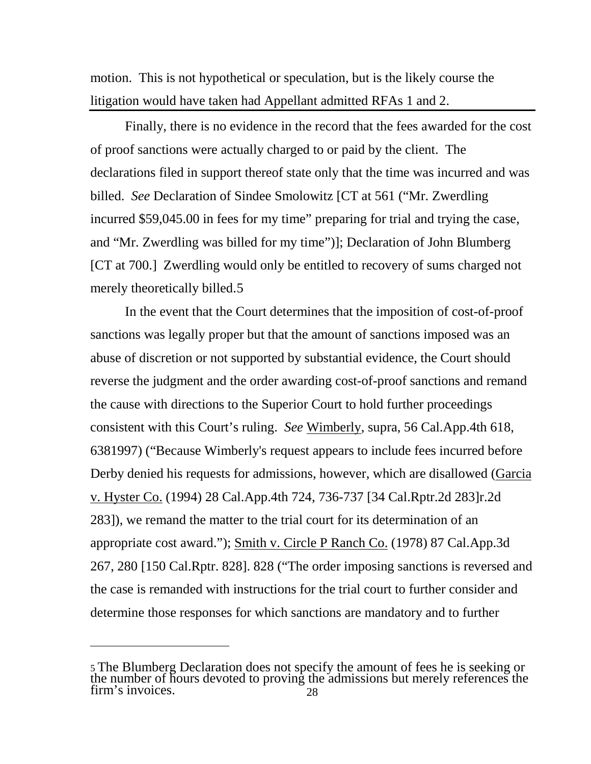motion. This is not hypothetical or speculation, but is the likely course the litigation would have taken had Appellant admitted RFAs 1 and 2.

Finally, there is no evidence in the record that the fees awarded for the cost of proof sanctions were actually charged to or paid by the client. The declarations filed in support thereof state only that the time was incurred and was billed. *See* Declaration of Sindee Smolowitz [CT at 561 ("Mr. Zwerdling incurred \$59,045.00 in fees for my time" preparing for trial and trying the case, and "Mr. Zwerdling was billed for my time")]; Declaration of John Blumberg [CT at 700.] Zwerdling would only be entitled to recovery of sums charged not merely theoretically billed.[5](#page-28-0)

In the event that the Court determines that the imposition of cost-of-proof sanctions was legally proper but that the amount of sanctions imposed was an abuse of discretion or not supported by substantial evidence, the Court should reverse the judgment and the order awarding cost-of-proof sanctions and remand the cause with directions to the Superior Court to hold further proceedings consistent with this Court's ruling. *See* Wimberly, supra, 56 Cal.App.4th 618, 6381997) ("Because Wimberly's request appears to include fees incurred before Derby denied his requests for admissions, however, which are disallowed (Garcia v. Hyster Co. (1994) 28 Cal.App.4th 724, 736-737 [34 Cal.Rptr.2d 283]r.2d 283]), we remand the matter to the trial court for its determination of an appropriate cost award."); Smith v. Circle P Ranch Co. (1978) 87 Cal.App.3d 267, 280 [150 Cal.Rptr. 828]. 828 ("The order imposing sanctions is reversed and the case is remanded with instructions for the trial court to further consider and determine those responses for which sanctions are mandatory and to further

 $\overline{a}$ 

<span id="page-28-0"></span><sup>5</sup> The Blumberg Declaration does not specify the amount of fees he is seeking or the number of hours devoted to proving the admissions but merely references the firm's invoices.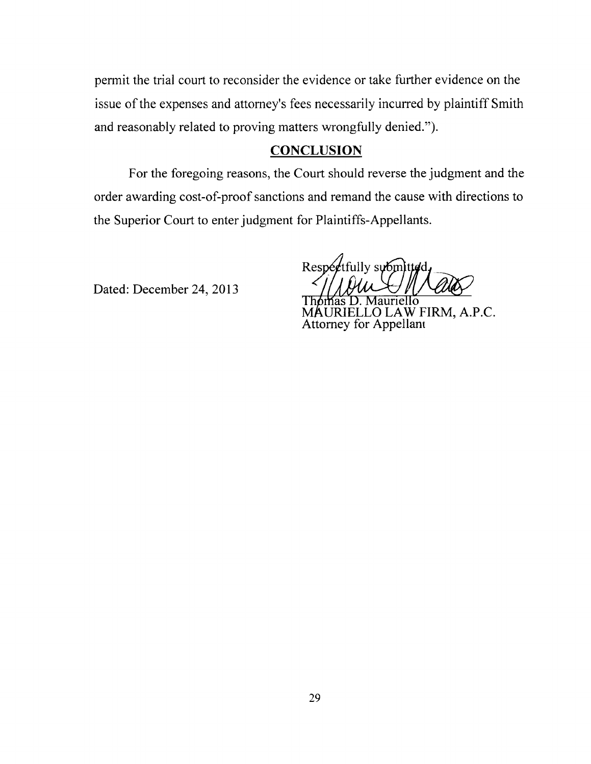permit the trial court to reconsider the evidence or take further evidence on the issue of the expenses and attorney's fees necessarily incurred by plaintiff Smith and reasonably related to proving matters wrongfully denied.").

#### **CONCLUSION**

For the foregoing reasons, the Court should reverse the judgment and the order awarding cost-of-proof sanctions and remand the cause with directions to the Superior Court to enter judgment for Plaintiffs-Appellants.

Dated: December 24, 2013

Respectfully submitted

Thomas D. Mauriello<br>MAURIELLO LAW FIRM, A.P.C.<br>Attorney for Appellant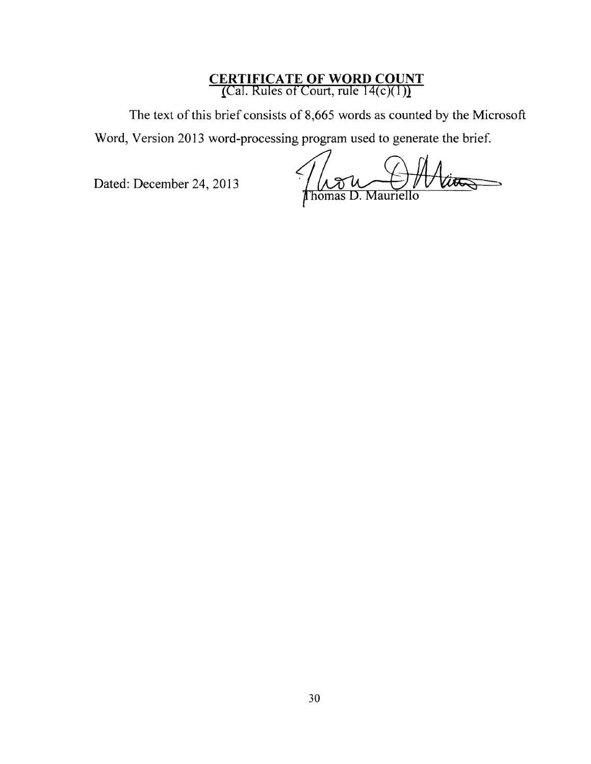# **CERTIFICATE OF WORD COUNT**<br>(Cal. Rules of Court, rule 14(c)(1))

The text of this brief consists of 8,665 words as counted by the Microsoft

Word, Version 2013 word-processing program used to generate the brief.

Dated: December 24, 2013

More Off tto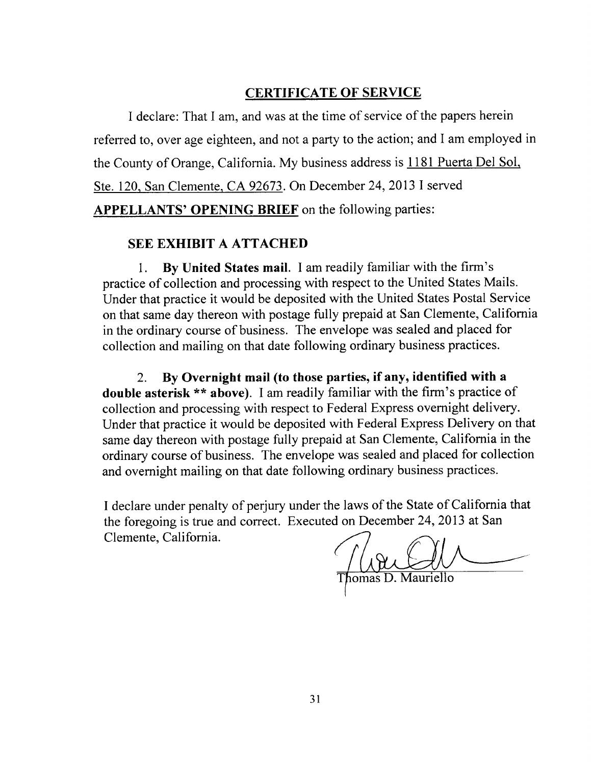#### **CERTIFICATE OF SERVICE**

I declare: That I am, and was at the time of service of the papers herein referred to, over age eighteen, and not a party to the action; and I am employed in the County of Orange, California. My business address is 1181 Puerta Del Sol, Ste. 120, San Clemente, CA 92673. On December 24, 2013 I served **APPELLANTS' OPENING BRIEF** on the following parties:

#### **SEE EXHIBIT A ATTACHED**

By United States mail. I am readily familiar with the firm's 1. practice of collection and processing with respect to the United States Mails. Under that practice it would be deposited with the United States Postal Service on that same day thereon with postage fully prepaid at San Clemente, California in the ordinary course of business. The envelope was sealed and placed for collection and mailing on that date following ordinary business practices.

By Overnight mail (to those parties, if any, identified with a  $2.$ **double asterisk** \*\* above). I am readily familiar with the firm's practice of collection and processing with respect to Federal Express overnight delivery. Under that practice it would be deposited with Federal Express Delivery on that same day thereon with postage fully prepaid at San Clemente, California in the ordinary course of business. The envelope was sealed and placed for collection and overnight mailing on that date following ordinary business practices.

I declare under penalty of perjury under the laws of the State of California that the foregoing is true and correct. Executed on December 24, 2013 at San Clemente, California.

nomas D. Mauriello